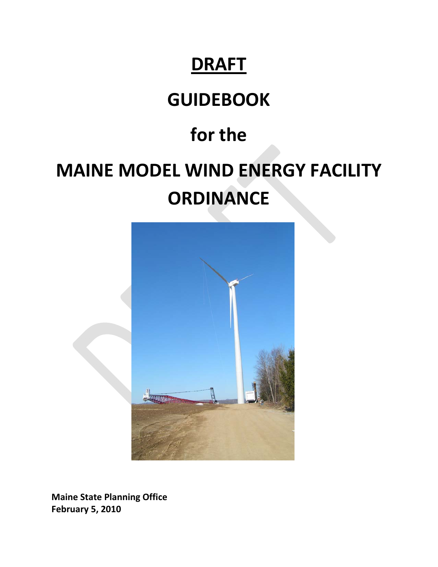# **DRAFT**

# **GUIDEBOOK**

# **for the**

# **MAINE MODEL WIND ENERGY FACILITY ORDINANCE**



**Maine State Planning Office February 5, 2010**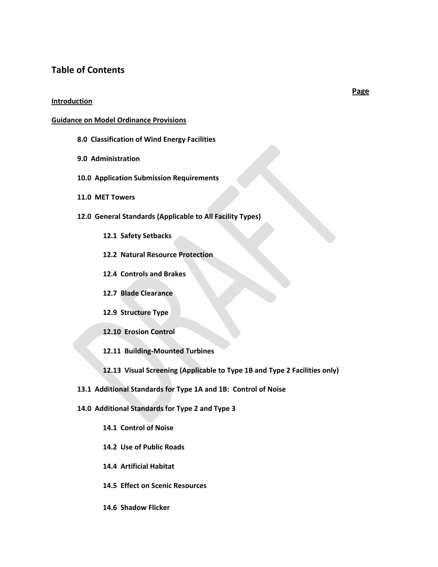## **Table of Contents**

#### **Introduction**

#### **Guidance on Model Ordinance Provisions**

- **8.0 Classification of Wind Energy Facilities**
- **9.0 Administration**
- **10.0 Application Submission Requirements**
- **11.0 MET Towers**
- **12.0 General Standards (Applicable to All Facility Types)**
	- **12.1 Safety Setbacks**
	- **12.2 Natural Resource Protection**
	- **12.4 Controls and Brakes**
	- **12.7 Blade Clearance**
	- **12.9 Structure Type**
	- **12.10 Erosion Control**
	- **12.11 Building‐Mounted Turbines**
	- **12.13 Visual Screening (Applicable to Type 1B and Type 2 Facilities only)**
- **13.1 Additional Standards for Type 1A and 1B: Control of Noise**
- **14.0 Additional Standards for Type 2 and Type 3**
	- **14.1 Control of Noise**
	- **14.2 Use of Public Roads**
	- **14.4 Artificial Habitat**
	- **14.5 Effect on Scenic Resources**
	- **14.6 Shadow Flicker**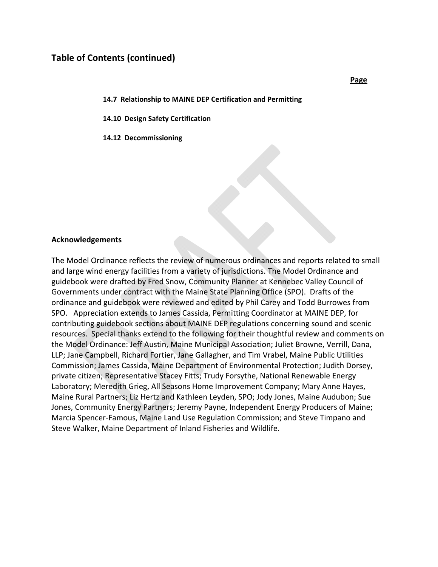## **Table of Contents (continued)**

**14.7 Relationship to MAINE DEP Certification and Permitting** 

**14.10 Design Safety Certification** 

**14.12 Decommissioning** 

#### **Acknowledgements**

The Model Ordinance reflects the review of numerous ordinances and reports related to small and large wind energy facilities from a variety of jurisdictions. The Model Ordinance and guidebook were drafted by Fred Snow, Community Planner at Kennebec Valley Council of Governments under contract with the Maine State Planning Office (SPO). Drafts of the ordinance and guidebook were reviewed and edited by Phil Carey and Todd Burrowes from SPO. Appreciation extends to James Cassida, Permitting Coordinator at MAINE DEP, for contributing guidebook sections about MAINE DEP regulations concerning sound and scenic resources. Special thanks extend to the following for their thoughtful review and comments on the Model Ordinance: Jeff Austin, Maine Municipal Association; Juliet Browne, Verrill, Dana, LLP; Jane Campbell, Richard Fortier, Jane Gallagher, and Tim Vrabel, Maine Public Utilities Commission; James Cassida, Maine Department of Environmental Protection; Judith Dorsey, private citizen; Representative Stacey Fitts; Trudy Forsythe, National Renewable Energy Laboratory; Meredith Grieg, All Seasons Home Improvement Company; Mary Anne Hayes, Maine Rural Partners; Liz Hertz and Kathleen Leyden, SPO; Jody Jones, Maine Audubon; Sue Jones, Community Energy Partners; Jeremy Payne, Independent Energy Producers of Maine; Marcia Spencer‐Famous, Maine Land Use Regulation Commission; and Steve Timpano and Steve Walker, Maine Department of Inland Fisheries and Wildlife.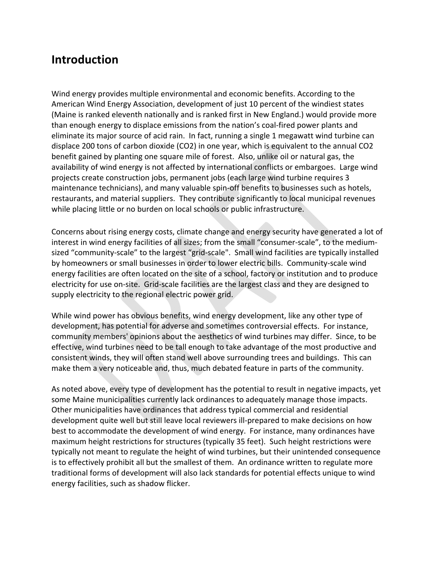# **Introduction**

Wind energy provides multiple environmental and economic benefits. According to the American Wind Energy Association, development of just 10 percent of the windiest states (Maine is ranked eleventh nationally and is ranked first in New England.) would provide more than enough energy to displace emissions from the nation's coal‐fired power plants and eliminate its major source of acid rain. In fact, running a single 1 megawatt wind turbine can displace 200 tons of carbon dioxide (CO2) in one year, which is equivalent to the annual CO2 benefit gained by planting one square mile of forest. Also, unlike oil or natural gas, the availability of wind energy is not affected by international conflicts or embargoes. Large wind projects create construction jobs, permanent jobs (each large wind turbine requires 3 maintenance technicians), and many valuable spin‐off benefits to businesses such as hotels, restaurants, and material suppliers. They contribute significantly to local municipal revenues while placing little or no burden on local schools or public infrastructure.

Concerns about rising energy costs, climate change and energy security have generated a lot of interest in wind energy facilities of all sizes; from the small "consumer-scale", to the mediumsized "community-scale" to the largest "grid-scale". Small wind facilities are typically installed by homeowners or small businesses in order to lower electric bills. Community‐scale wind energy facilities are often located on the site of a school, factory or institution and to produce electricity for use on‐site. Grid‐scale facilities are the largest class and they are designed to supply electricity to the regional electric power grid.

While wind power has obvious benefits, wind energy development, like any other type of development, has potential for adverse and sometimes controversial effects. For instance, community members' opinions about the aesthetics of wind turbines may differ. Since, to be effective, wind turbines need to be tall enough to take advantage of the most productive and consistent winds, they will often stand well above surrounding trees and buildings. This can make them a very noticeable and, thus, much debated feature in parts of the community.

As noted above, every type of development has the potential to result in negative impacts, yet some Maine municipalities currently lack ordinances to adequately manage those impacts. Other municipalities have ordinances that address typical commercial and residential development quite well but still leave local reviewers ill‐prepared to make decisions on how best to accommodate the development of wind energy. For instance, many ordinances have maximum height restrictions for structures (typically 35 feet). Such height restrictions were typically not meant to regulate the height of wind turbines, but their unintended consequence is to effectively prohibit all but the smallest of them. An ordinance written to regulate more traditional forms of development will also lack standards for potential effects unique to wind energy facilities, such as shadow flicker.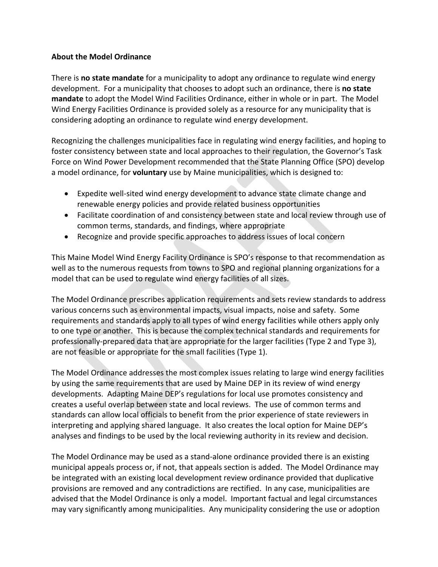## **About the Model Ordinance**

There is **no state mandate** for a municipality to adopt any ordinance to regulate wind energy development. For a municipality that chooses to adopt such an ordinance, there is **no state mandate** to adopt the Model Wind Facilities Ordinance, either in whole or in part. The Model Wind Energy Facilities Ordinance is provided solely as a resource for any municipality that is considering adopting an ordinance to regulate wind energy development.

Recognizing the challenges municipalities face in regulating wind energy facilities, and hoping to foster consistency between state and local approaches to their regulation, the Governor's Task Force on Wind Power Development recommended that the State Planning Office (SPO) develop a model ordinance, for **voluntary** use by Maine municipalities, which is designed to:

- Expedite well-sited wind energy development to advance state climate change and renewable energy policies and provide related business opportunities
- Facilitate coordination of and consistency between state and local review through use of common terms, standards, and findings, where appropriate
- Recognize and provide specific approaches to address issues of local concern

This Maine Model Wind Energy Facility Ordinance is SPO's response to that recommendation as well as to the numerous requests from towns to SPO and regional planning organizations for a model that can be used to regulate wind energy facilities of all sizes.

The Model Ordinance prescribes application requirements and sets review standards to address various concerns such as environmental impacts, visual impacts, noise and safety. Some requirements and standards apply to all types of wind energy facilities while others apply only to one type or another. This is because the complex technical standards and requirements for professionally‐prepared data that are appropriate for the larger facilities (Type 2 and Type 3), are not feasible or appropriate for the small facilities (Type 1).

The Model Ordinance addresses the most complex issues relating to large wind energy facilities by using the same requirements that are used by Maine DEP in its review of wind energy developments. Adapting Maine DEP's regulations for local use promotes consistency and creates a useful overlap between state and local reviews. The use of common terms and standards can allow local officials to benefit from the prior experience of state reviewers in interpreting and applying shared language. It also creates the local option for Maine DEP's analyses and findings to be used by the local reviewing authority in its review and decision.

The Model Ordinance may be used as a stand‐alone ordinance provided there is an existing municipal appeals process or, if not, that appeals section is added. The Model Ordinance may be integrated with an existing local development review ordinance provided that duplicative provisions are removed and any contradictions are rectified. In any case, municipalities are advised that the Model Ordinance is only a model. Important factual and legal circumstances may vary significantly among municipalities. Any municipality considering the use or adoption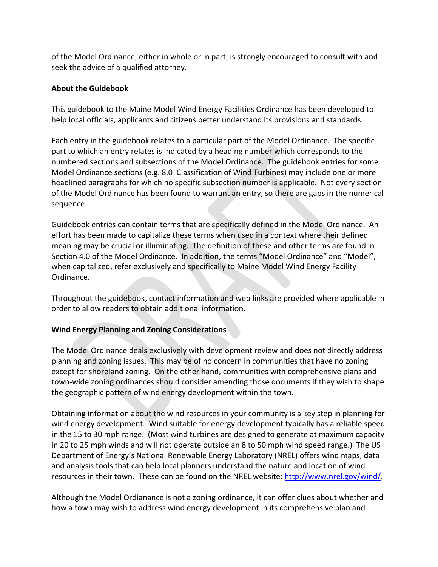of the Model Ordinance, either in whole or in part, is strongly encouraged to consult with and seek the advice of a qualified attorney.

## **About the Guidebook**

This guidebook to the Maine Model Wind Energy Facilities Ordinance has been developed to help local officials, applicants and citizens better understand its provisions and standards.

Each entry in the guidebook relates to a particular part of the Model Ordinance. The specific part to which an entry relates is indicated by a heading number which corresponds to the numbered sections and subsections of the Model Ordinance. The guidebook entries for some Model Ordinance sections (e.g. 8.0 Classification of Wind Turbines) may include one or more headlined paragraphs for which no specific subsection number is applicable. Not every section of the Model Ordinance has been found to warrant an entry, so there are gaps in the numerical sequence.

Guidebook entries can contain terms that are specifically defined in the Model Ordinance. An effort has been made to capitalize these terms when used in a context where their defined meaning may be crucial or illuminating. The definition of these and other terms are found in Section 4.0 of the Model Ordinance. In addition, the terms "Model Ordinance" and "Model", when capitalized, refer exclusively and specifically to Maine Model Wind Energy Facility Ordinance.

Throughout the guidebook, contact information and web links are provided where applicable in order to allow readers to obtain additional information.

# **Wind Energy Planning and Zoning Considerations**

The Model Ordinance deals exclusively with development review and does not directly address planning and zoning issues. This may be of no concern in communities that have no zoning except for shoreland zoning. On the other hand, communities with comprehensive plans and town‐wide zoning ordinances should consider amending those documents if they wish to shape the geographic pattern of wind energy development within the town.

Obtaining information about the wind resources in your community is a key step in planning for wind energy development. Wind suitable for energy development typically has a reliable speed in the 15 to 30 mph range. (Most wind turbines are designed to generate at maximum capacity in 20 to 25 mph winds and will not operate outside an 8 to 50 mph wind speed range.) The US Department of Energy's National Renewable Energy Laboratory (NREL) offers wind maps, data and analysis tools that can help local planners understand the nature and location of wind resources in their town. These can be found on the NREL website: <http://www.nrel.gov/wind/>.

Although the Model Ordianance is not a zoning ordinance, it can offer clues about whether and how a town may wish to address wind energy development in its comprehensive plan and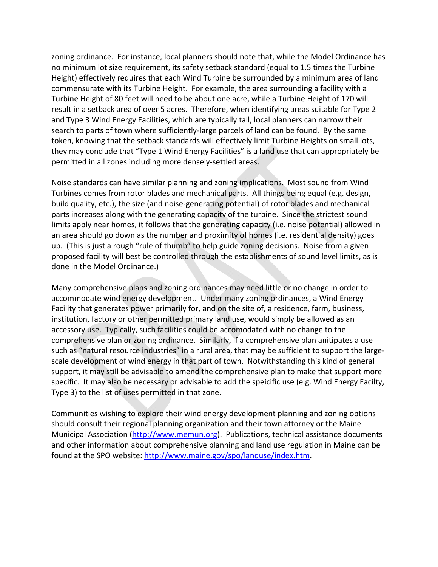zoning ordinance. For instance, local planners should note that, while the Model Ordinance has no minimum lot size requirement, its safety setback standard (equal to 1.5 times the Turbine Height) effectively requires that each Wind Turbine be surrounded by a minimum area of land commensurate with its Turbine Height. For example, the area surrounding a facility with a Turbine Height of 80 feet will need to be about one acre, while a Turbine Height of 170 will result in a setback area of over 5 acres. Therefore, when identifying areas suitable for Type 2 and Type 3 Wind Energy Facilities, which are typically tall, local planners can narrow their search to parts of town where sufficiently‐large parcels of land can be found. By the same token, knowing that the setback standards will effectively limit Turbine Heights on small lots, they may conclude that "Type 1 Wind Energy Facilities" is a land use that can appropriately be permitted in all zones including more densely‐settled areas.

Noise standards can have similar planning and zoning implications. Most sound from Wind Turbines comes from rotor blades and mechanical parts. All things being equal (e.g. design, build quality, etc.), the size (and noise‐generating potential) of rotor blades and mechanical parts increases along with the generating capacity of the turbine. Since the strictest sound limits apply near homes, it follows that the generating capacity (i.e. noise potential) allowed in an area should go down as the number and proximity of homes (i.e. residential density) goes up. (This is just a rough "rule of thumb" to help guide zoning decisions. Noise from a given proposed facility will best be controlled through the establishments of sound level limits, as is done in the Model Ordinance.)

Many comprehensive plans and zoning ordinances may need little or no change in order to accommodate wind energy development. Under many zoning ordinances, a Wind Energy Facility that generates power primarily for, and on the site of, a residence, farm, business, institution, factory or other permitted primary land use, would simply be allowed as an accessory use. Typically, such facilities could be accomodated with no change to the comprehensive plan or zoning ordinance. Similarly, if a comprehensive plan anitipates a use such as "natural resource industries" in a rural area, that may be sufficient to support the largescale development of wind energy in that part of town. Notwithstanding this kind of general support, it may still be advisable to amend the comprehensive plan to make that support more specific. It may also be necessary or advisable to add the speicific use (e.g. Wind Energy Facilty, Type 3) to the list of uses permitted in that zone.

Communities wishing to explore their wind energy development planning and zoning options should consult their regional planning organization and their town attorney or the Maine Municipal Association ([http://www.memun.org\)](http://www.memun.org/). Publications, technical assistance documents and other information about comprehensive planning and land use regulation in Maine can be found at the SPO website: <http://www.maine.gov/spo/landuse/index.htm>.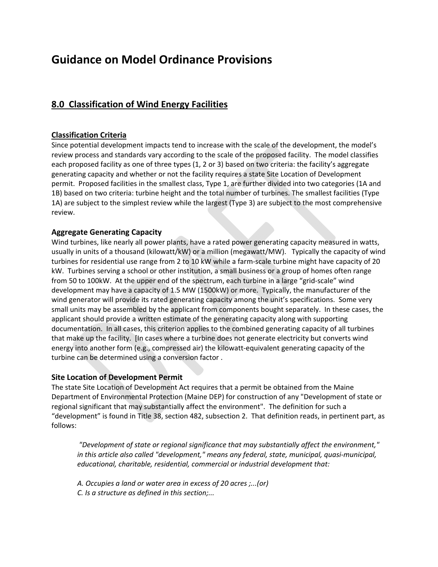# **Guidance on Model Ordinance Provisions**

# **8.0 Classification of Wind Energy Facilities**

### **Classification Criteria**

Since potential development impacts tend to increase with the scale of the development, the model's review process and standards vary according to the scale of the proposed facility. The model classifies each proposed facility as one of three types (1, 2 or 3) based on two criteria: the facility's aggregate generating capacity and whether or not the facility requires a state Site Location of Development permit. Proposed facilities in the smallest class, Type 1, are further divided into two categories (1A and 1B) based on two criteria: turbine height and the total number of turbines. The smallest facilities (Type 1A) are subject to the simplest review while the largest (Type 3) are subject to the most comprehensive review.

### **Aggregate Generating Capacity**

Wind turbines, like nearly all power plants, have a rated power generating capacity measured in watts, usually in units of a thousand (kilowatt/kW) or a million (megawatt/MW). Typically the capacity of wind turbines for residential use range from 2 to 10 kW while a farm‐scale turbine might have capacity of 20 kW. Turbines serving a school or other institution, a small business or a group of homes often range from 50 to 100kW. At the upper end of the spectrum, each turbine in a large "grid-scale" wind development may have a capacity of 1.5 MW (1500kW) or more. Typically, the manufacturer of the wind generator will provide its rated generating capacity among the unit's specifications. Some very small units may be assembled by the applicant from components bought separately. In these cases, the applicant should provide a written estimate of the generating capacity along with supporting documentation. In all cases, this criterion applies to the combined generating capacity of all turbines that make up the facility. [In cases where a turbine does not generate electricity but converts wind energy into another form (e.g., compressed air) the kilowatt-equivalent generating capacity of the turbine can be determined using a conversion factor .

## **Site Location of Development Permit**

The state Site Location of Development Act requires that a permit be obtained from the Maine Department of Environmental Protection (Maine DEP) for construction of any "Development of state or regional significant that may substantially affect the environment". The definition for such a "development" is found in Title 38, section 482, subsection 2. That definition reads, in pertinent part, as follows:

*"Development of state or regional significance that may substantially affect the environment," in this article also called "development," means any federal, state, municipal, quasi‐municipal, educational, charitable, residential, commercial or industrial development that:*

- *A. Occupies a land or water area in excess of 20 acres ;...(or)*
- *C. Is a structure as defined in this section;...*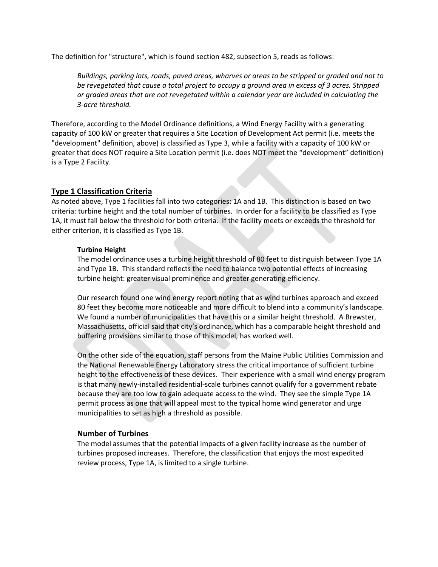The definition for "structure", which is found section 482, subsection 5, reads as follows:

*Buildings, parking lots, roads, paved areas, wharves or areas to be stripped or graded and not to be revegetated that cause a total project to occupy a ground area in excess of 3 acres. Stripped or graded areas that are not revegetated within a calendar year are included in calculating the 3‐acre threshold.*

Therefore, according to the Model Ordinance definitions, a Wind Energy Facility with a generating capacity of 100 kW or greater that requires a Site Location of Development Act permit (i.e. meets the "development" definition, above) is classified as Type 3, while a facility with a capacity of 100 kW or greater that does NOT require a Site Location permit (i.e. does NOT meet the "development" definition) is a Type 2 Facility.

### **Type 1 Classification Criteria**

As noted above, Type 1 facilities fall into two categories: 1A and 1B. This distinction is based on two criteria: turbine height and the total number of turbines. In order for a facility to be classified as Type 1A, it must fall below the threshold for both criteria. If the facility meets or exceeds the threshold for either criterion, it is classified as Type 1B.

#### **Turbine Height**

The model ordinance uses a turbine height threshold of 80 feet to distinguish between Type 1A and Type 1B. This standard reflects the need to balance two potential effects of increasing turbine height: greater visual prominence and greater generating efficiency.

Our research found one wind energy report noting that as wind turbines approach and exceed 80 feet they become more noticeable and more difficult to blend into a community's landscape. We found a number of municipalities that have this or a similar height threshold. A Brewster, Massachusetts, official said that city's ordinance, which has a comparable height threshold and buffering provisions similar to those of this model, has worked well.

On the other side of the equation, staff persons from the Maine Public Utilities Commission and the National Renewable Energy Laboratory stress the critical importance of sufficient turbine height to the effectiveness of these devices. Their experience with a small wind energy program is that many newly‐installed residential‐scale turbines cannot qualify for a government rebate because they are too low to gain adequate access to the wind. They see the simple Type 1A permit process as one that will appeal most to the typical home wind generator and urge municipalities to set as high a threshold as possible.

### **Number of Turbines**

The model assumes that the potential impacts of a given facility increase as the number of turbines proposed increases. Therefore, the classification that enjoys the most expedited review process, Type 1A, is limited to a single turbine.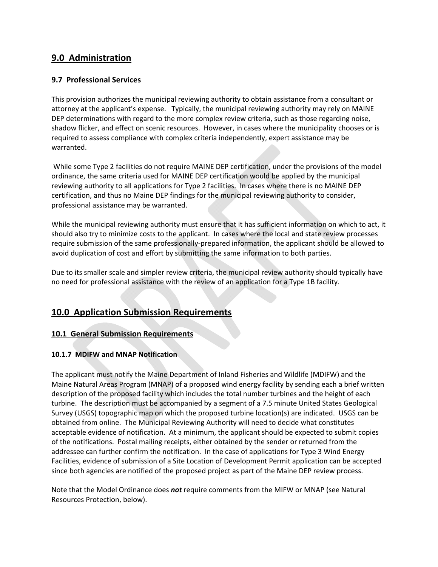# **9.0 Administration**

## **9.7 Professional Services**

This provision authorizes the municipal reviewing authority to obtain assistance from a consultant or attorney at the applicant's expense. Typically, the municipal reviewing authority may rely on MAINE DEP determinations with regard to the more complex review criteria, such as those regarding noise, shadow flicker, and effect on scenic resources. However, in cases where the municipality chooses or is required to assess compliance with complex criteria independently, expert assistance may be warranted.

While some Type 2 facilities do not require MAINE DEP certification, under the provisions of the model ordinance, the same criteria used for MAINE DEP certification would be applied by the municipal reviewing authority to all applications for Type 2 facilities. In cases where there is no MAINE DEP certification, and thus no Maine DEP findings for the municipal reviewing authority to consider, professional assistance may be warranted.

While the municipal reviewing authority must ensure that it has sufficient information on which to act, it should also try to minimize costs to the applicant. In cases where the local and state review processes require submission of the same professionally‐prepared information, the applicant should be allowed to avoid duplication of cost and effort by submitting the same information to both parties.

Due to its smaller scale and simpler review criteria, the municipal review authority should typically have no need for professional assistance with the review of an application for a Type 1B facility.

# **10.0 Application Submission Requirements**

# **10.1 General Submission Requirements**

## **10.1.7 MDIFW and MNAP Notification**

The applicant must notify the Maine Department of Inland Fisheries and Wildlife (MDIFW) and the Maine Natural Areas Program (MNAP) of a proposed wind energy facility by sending each a brief written description of the proposed facility which includes the total number turbines and the height of each turbine. The description must be accompanied by a segment of a 7.5 minute United States Geological Survey (USGS) topographic map on which the proposed turbine location(s) are indicated. USGS can be obtained from online. The Municipal Reviewing Authority will need to decide what constitutes acceptable evidence of notification. At a minimum, the applicant should be expected to submit copies of the notifications. Postal mailing receipts, either obtained by the sender or returned from the addressee can further confirm the notification. In the case of applications for Type 3 Wind Energy Facilities, evidence of submission of a Site Location of Development Permit application can be accepted since both agencies are notified of the proposed project as part of the Maine DEP review process.

Note that the Model Ordinance does *not* require comments from the MIFW or MNAP (see Natural Resources Protection, below).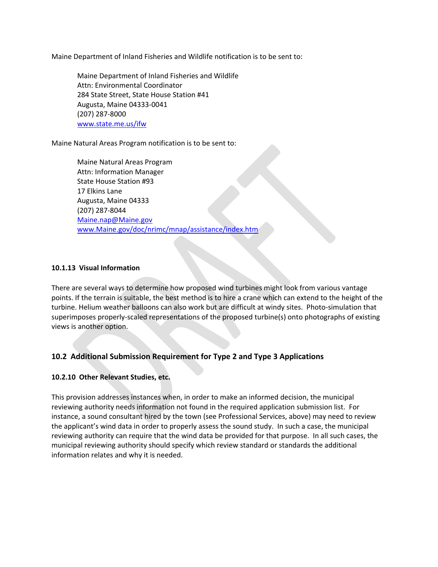Maine Department of Inland Fisheries and Wildlife notification is to be sent to:

Maine Department of Inland Fisheries and Wildlife Attn: Environmental Coordinator 284 State Street, State House Station #41 Augusta, Maine 04333‐0041 (207) 287‐8000 [www.state.me.us/ifw](http://www.state.me.us/ifw/)

Maine Natural Areas Program notification is to be sent to:

Maine Natural Areas Program Attn: Information Manager State House Station #93 17 Elkins Lane Augusta, Maine 04333 (207) 287‐8044 [Maine.nap@Maine.gov](mailto:maine.nap@maine.gov) [www.Maine.gov/doc/nrimc/mnap/assistance/index.htm](http://www.maine.gov/doc/nrimc/mnap/assistance/index.htm)

### **10.1.13 Visual Information**

There are several ways to determine how proposed wind turbines might look from various vantage points. If the terrain is suitable, the best method is to hire a crane which can extend to the height of the turbine. Helium weather balloons can also work but are difficult at windy sites. Photo-simulation that superimposes properly-scaled representations of the proposed turbine(s) onto photographs of existing views is another option.

# **10.2 Additional Submission Requirement for Type 2 and Type 3 Applications**

## **10.2.10 Other Relevant Studies, etc.**

This provision addresses instances when, in order to make an informed decision, the municipal reviewing authority needs information not found in the required application submission list. For instance, a sound consultant hired by the town (see Professional Services, above) may need to review the applicant's wind data in order to properly assess the sound study. In such a case, the municipal reviewing authority can require that the wind data be provided for that purpose. In all such cases, the municipal reviewing authority should specify which review standard or standards the additional information relates and why it is needed.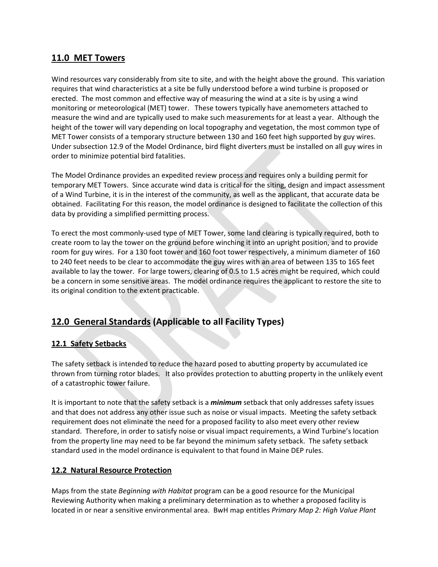# **11.0 MET Towers**

Wind resources vary considerably from site to site, and with the height above the ground. This variation requires that wind characteristics at a site be fully understood before a wind turbine is proposed or erected. The most common and effective way of measuring the wind at a site is by using a wind monitoring or meteorological (MET) tower. These towers typically have anemometers attached to measure the wind and are typically used to make such measurements for at least a year. Although the height of the tower will vary depending on local topography and vegetation, the most common type of MET Tower consists of a temporary structure between 130 and 160 feet high supported by guy wires. Under subsection 12.9 of the Model Ordinance, bird flight diverters must be installed on all guy wires in order to minimize potential bird fatalities.

The Model Ordinance provides an expedited review process and requires only a building permit for temporary MET Towers. Since accurate wind data is critical for the siting, design and impact assessment of a Wind Turbine, it is in the interest of the community, as well as the applicant, that accurate data be obtained. Facilitating For this reason, the model ordinance is designed to facilitate the collection of this data by providing a simplified permitting process.

To erect the most commonly‐used type of MET Tower, some land clearing is typically required, both to create room to lay the tower on the ground before winching it into an upright position, and to provide room for guy wires. For a 130 foot tower and 160 foot tower respectively, a minimum diameter of 160 to 240 feet needs to be clear to accommodate the guy wires with an area of between 135 to 165 feet available to lay the tower. For large towers, clearing of 0.5 to 1.5 acres might be required, which could be a concern in some sensitive areas. The model ordinance requires the applicant to restore the site to its original condition to the extent practicable.

# **12.0 General Standards (Applicable to all Facility Types)**

# **12.1 Safety Setbacks**

The safety setback is intended to reduce the hazard posed to abutting property by accumulated ice thrown from turning rotor blades. It also provides protection to abutting property in the unlikely event of a catastrophic tower failure.

It is important to note that the safety setback is a *minimum* setback that only addresses safety issues and that does not address any other issue such as noise or visual impacts. Meeting the safety setback requirement does not eliminate the need for a proposed facility to also meet every other review standard. Therefore, in order to satisfy noise or visual impact requirements, a Wind Turbine's location from the property line may need to be far beyond the minimum safety setback. The safety setback standard used in the model ordinance is equivalent to that found in Maine DEP rules.

# **12.2 Natural Resource Protection**

Maps from the state *Beginning with Habitat* program can be a good resource for the Municipal Reviewing Authority when making a preliminary determination as to whether a proposed facility is located in or near a sensitive environmental area. BwH map entitles *Primary Map 2: High Value Plant*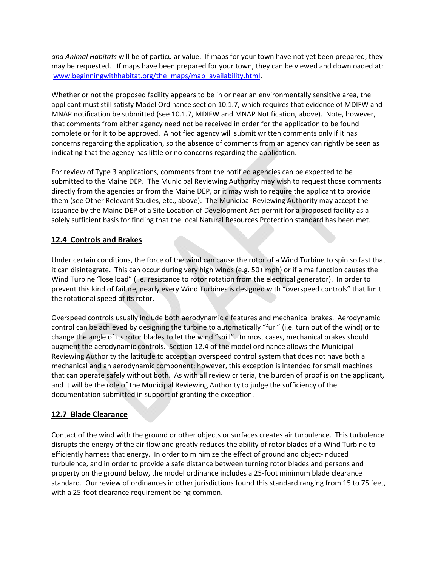*and Animal Habitats* will be of particular value. If maps for your town have not yet been prepared, they may be requested. If maps have been prepared for your town, they can be viewed and downloaded at: [www.beginningwithhabitat.org/the\\_maps/map\\_availability.html.](http://www.beginningwithhabitat.org/the_maps/map_availability.html)

Whether or not the proposed facility appears to be in or near an environmentally sensitive area, the applicant must still satisfy Model Ordinance section 10.1.7, which requires that evidence of MDIFW and MNAP notification be submitted (see 10.1.7, MDIFW and MNAP Notification, above). Note, however, that comments from either agency need not be received in order for the application to be found complete or for it to be approved. A notified agency will submit written comments only if it has concerns regarding the application, so the absence of comments from an agency can rightly be seen as indicating that the agency has little or no concerns regarding the application.

For review of Type 3 applications, comments from the notified agencies can be expected to be submitted to the Maine DEP. The Municipal Reviewing Authority may wish to request those comments directly from the agencies or from the Maine DEP, or it may wish to require the applicant to provide them (see Other Relevant Studies, etc., above). The Municipal Reviewing Authority may accept the issuance by the Maine DEP of a Site Location of Development Act permit for a proposed facility as a solely sufficient basis for finding that the local Natural Resources Protection standard has been met.

## **12.4 Controls and Brakes**

Under certain conditions, the force of the wind can cause the rotor of a Wind Turbine to spin so fast that it can disintegrate. This can occur during very high winds (e.g. 50+ mph) or if a malfunction causes the Wind Turbine "lose load" (i.e. resistance to rotor rotation from the electrical generator). In order to prevent this kind of failure, nearly every Wind Turbines is designed with "overspeed controls" that limit the rotational speed of its rotor.

Overspeed controls usually include both aerodynamic e features and mechanical brakes. Aerodynamic control can be achieved by designing the turbine to automatically "furl" (i.e. turn out of the wind) or to change the angle of its rotor blades to let the wind "spill". In most cases, mechanical brakes should augment the aerodynamic controls. Section 12.4 of the model ordinance allows the Municipal Reviewing Authority the latitude to accept an overspeed control system that does not have both a mechanical and an aerodynamic component; however, this exception is intended for small machines that can operate safely without both. As with all review criteria, the burden of proof is on the applicant, and it will be the role of the Municipal Reviewing Authority to judge the sufficiency of the documentation submitted in support of granting the exception.

## **12.7 Blade Clearance**

Contact of the wind with the ground or other objects or surfaces creates air turbulence. This turbulence disrupts the energy of the air flow and greatly reduces the ability of rotor blades of a Wind Turbine to efficiently harness that energy. In order to minimize the effect of ground and object-induced turbulence, and in order to provide a safe distance between turning rotor blades and persons and property on the ground below, the model ordinance includes a 25‐foot minimum blade clearance standard. Our review of ordinances in other jurisdictions found this standard ranging from 15 to 75 feet, with a 25-foot clearance requirement being common.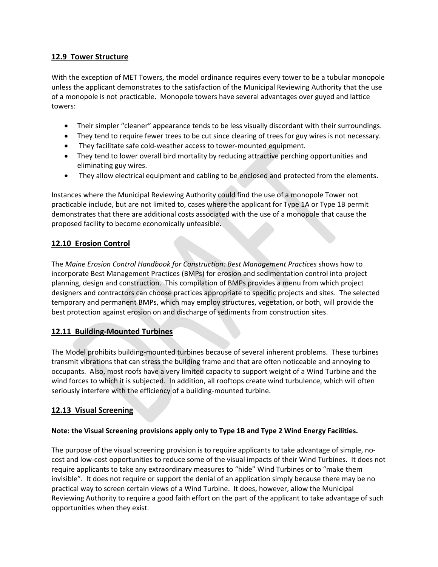## **12.9 Tower Structure**

With the exception of MET Towers, the model ordinance requires every tower to be a tubular monopole unless the applicant demonstrates to the satisfaction of the Municipal Reviewing Authority that the use of a monopole is not practicable. Monopole towers have several advantages over guyed and lattice towers:

- Their simpler "cleaner" appearance tends to be less visually discordant with their surroundings.
- They tend to require fewer trees to be cut since clearing of trees for guy wires is not necessary.
- They facilitate safe cold‐weather access to tower‐mounted equipment.
- They tend to lower overall bird mortality by reducing attractive perching opportunities and eliminating guy wires.
- They allow electrical equipment and cabling to be enclosed and protected from the elements.

Instances where the Municipal Reviewing Authority could find the use of a monopole Tower not practicable include, but are not limited to, cases where the applicant for Type 1A or Type 1B permit demonstrates that there are additional costs associated with the use of a monopole that cause the proposed facility to become economically unfeasible.

## **12.10 Erosion Control**

The *Maine Erosion Control Handbook for Construction: Best Management Practices* shows how to incorporate Best Management Practices (BMPs) for erosion and sedimentation control into project planning, design and construction. This compilation of BMPs provides a menu from which project designers and contractors can choose practices appropriate to specific projects and sites. The selected temporary and permanent BMPs, which may employ structures, vegetation, or both, will provide the best protection against erosion on and discharge of sediments from construction sites.

## **12.11 Building‐Mounted Turbines**

The Model prohibits building‐mounted turbines because of several inherent problems. These turbines transmit vibrations that can stress the building frame and that are often noticeable and annoying to occupants. Also, most roofs have a very limited capacity to support weight of a Wind Turbine and the wind forces to which it is subjected. In addition, all rooftops create wind turbulence, which will often seriously interfere with the efficiency of a building‐mounted turbine.

## **12.13 Visual Screening**

## **Note: the Visual Screening provisions apply only to Type 1B and Type 2 Wind Energy Facilities.**

The purpose of the visual screening provision is to require applicants to take advantage of simple, no‐ cost and low‐cost opportunities to reduce some of the visual impacts of their Wind Turbines. It does not require applicants to take any extraordinary measures to "hide" Wind Turbines or to "make them invisible". It does not require or support the denial of an application simply because there may be no practical way to screen certain views of a Wind Turbine. It does, however, allow the Municipal Reviewing Authority to require a good faith effort on the part of the applicant to take advantage of such opportunities when they exist.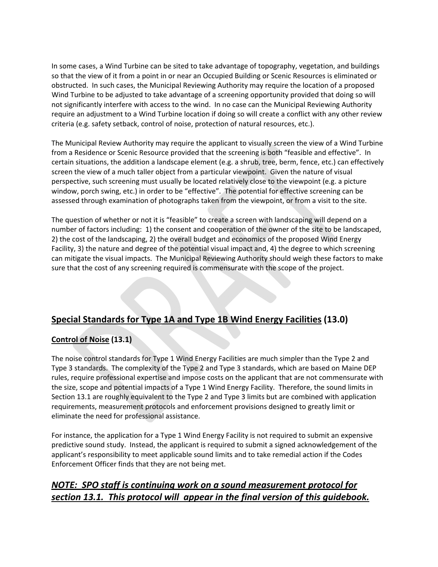In some cases, a Wind Turbine can be sited to take advantage of topography, vegetation, and buildings so that the view of it from a point in or near an Occupied Building or Scenic Resources is eliminated or obstructed. In such cases, the Municipal Reviewing Authority may require the location of a proposed Wind Turbine to be adjusted to take advantage of a screening opportunity provided that doing so will not significantly interfere with access to the wind. In no case can the Municipal Reviewing Authority require an adjustment to a Wind Turbine location if doing so will create a conflict with any other review criteria (e.g. safety setback, control of noise, protection of natural resources, etc.).

The Municipal Review Authority may require the applicant to visually screen the view of a Wind Turbine from a Residence or Scenic Resource provided that the screening is both "feasible and effective". In certain situations, the addition a landscape element (e.g. a shrub, tree, berm, fence, etc.) can effectively screen the view of a much taller object from a particular viewpoint. Given the nature of visual perspective, such screening must usually be located relatively close to the viewpoint (e.g. a picture window, porch swing, etc.) in order to be "effective". The potential for effective screening can be assessed through examination of photographs taken from the viewpoint, or from a visit to the site.

The question of whether or not it is "feasible" to create a screen with landscaping will depend on a number of factors including: 1) the consent and cooperation of the owner of the site to be landscaped, 2) the cost of the landscaping, 2) the overall budget and economics of the proposed Wind Energy Facility, 3) the nature and degree of the potential visual impact and, 4) the degree to which screening can mitigate the visual impacts. The Municipal Reviewing Authority should weigh these factors to make sure that the cost of any screening required is commensurate with the scope of the project.

# **Special Standards for Type 1A and Type 1B Wind Energy Facilities (13.0)**

# **Control of Noise (13.1)**

The noise control standards for Type 1 Wind Energy Facilities are much simpler than the Type 2 and Type 3 standards. The complexity of the Type 2 and Type 3 standards, which are based on Maine DEP rules, require professional expertise and impose costs on the applicant that are not commensurate with the size, scope and potential impacts of a Type 1 Wind Energy Facility. Therefore, the sound limits in Section 13.1 are roughly equivalent to the Type 2 and Type 3 limits but are combined with application requirements, measurement protocols and enforcement provisions designed to greatly limit or eliminate the need for professional assistance.

For instance, the application for a Type 1 Wind Energy Facility is not required to submit an expensive predictive sound study. Instead, the applicant is required to submit a signed acknowledgement of the applicant's responsibility to meet applicable sound limits and to take remedial action if the Codes Enforcement Officer finds that they are not being met.

# *NOTE: SPO staff is continuing work on a sound measurement protocol for section 13.1. This protocol will appear in the final version of this guidebook.*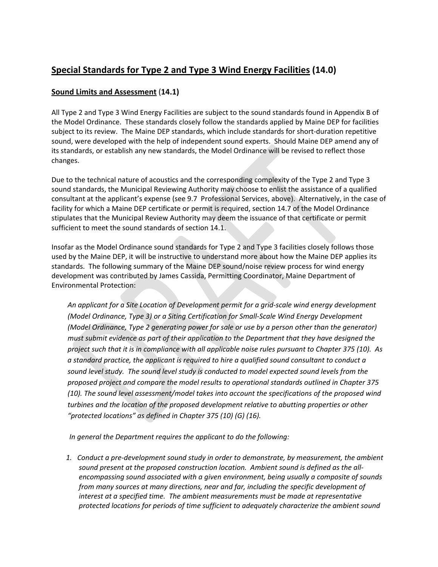# **Special Standards for Type 2 and Type 3 Wind Energy Facilities (14.0)**

## **Sound Limits and Assessment** (**14.1)**

All Type 2 and Type 3 Wind Energy Facilities are subject to the sound standards found in Appendix B of the Model Ordinance. These standards closely follow the standards applied by Maine DEP for facilities subject to its review. The Maine DEP standards, which include standards for short‐duration repetitive sound, were developed with the help of independent sound experts. Should Maine DEP amend any of its standards, or establish any new standards, the Model Ordinance will be revised to reflect those changes.

Due to the technical nature of acoustics and the corresponding complexity of the Type 2 and Type 3 sound standards, the Municipal Reviewing Authority may choose to enlist the assistance of a qualified consultant at the applicant's expense (see 9.7 Professional Services, above). Alternatively, in the case of facility for which a Maine DEP certificate or permit is required, section 14.7 of the Model Ordinance stipulates that the Municipal Review Authority may deem the issuance of that certificate or permit sufficient to meet the sound standards of section 14.1.

Insofar as the Model Ordinance sound standards for Type 2 and Type 3 facilities closely follows those used by the Maine DEP, it will be instructive to understand more about how the Maine DEP applies its standards. The following summary of the Maine DEP sound/noise review process for wind energy development was contributed by James Cassida, Permitting Coordinator, Maine Department of Environmental Protection:

*An applicant for a Site Location of Development permit for a grid‐scale wind energy development (Model Ordinance, Type 3) or a Siting Certification for Small‐Scale Wind Energy Development (Model Ordinance, Type 2 generating power for sale or use by a person other than the generator) must submit evidence as part of their application to the Department that they have designed the* project such that it is in compliance with all applicable noise rules pursuant to Chapter 375 (10). As *a standard practice, the applicant is required to hire a qualified sound consultant to conduct a sound level study. The sound level study is conducted to model expected sound levels from the proposed project and compare the model results to operational standards outlined in Chapter 375 (10). The sound level assessment/model takes into account the specifications of the proposed wind turbines and the location of the proposed development relative to abutting properties or other "protected locations" as defined in Chapter 375 (10) (G) (16).* 

*In general the Department requires the applicant to do the following:*

*1. Conduct a pre‐development sound study in order to demonstrate, by measurement, the ambient sound present at the proposed construction location. Ambient sound is defined as the all‐ encompassing sound associated with a given environment, being usually a composite of sounds from many sources at many directions, near and far, including the specific development of interest at a specified time. The ambient measurements must be made at representative protected locations for periods of time sufficient to adequately characterize the ambient sound*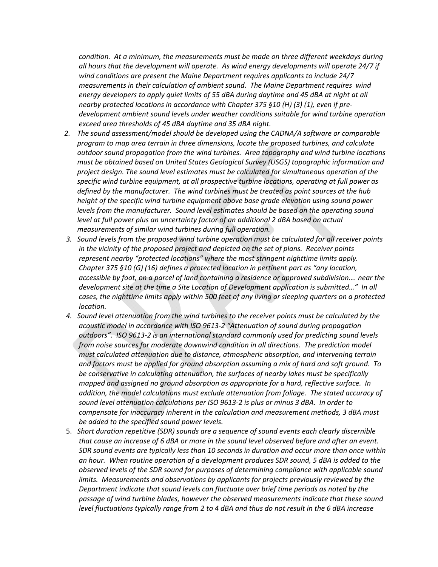*condition. At a minimum, the measurements must be made on three different weekdays during all hours that the development will operate. As wind energy developments will operate 24/7 if wind conditions are present the Maine Department requires applicants to include 24/7 measurements in their calculation of ambient sound. The Maine Department requires wind energy developers to apply quiet limits of 55 dBA during daytime and 45 dBA at night at all nearby protected locations in accordance with Chapter 375 §10 (H) (3) (1), even if pre‐ development ambient sound levels under weather conditions suitable for wind turbine operation exceed area thresholds of 45 dBA daytime and 35 dBA night.*

- *2. The sound assessment/model should be developed using the CADNA/A software or comparable program to map area terrain in three dimensions, locate the proposed turbines, and calculate outdoor sound propagation from the wind turbines. Area topography and wind turbine locations must be obtained based on United States Geological Survey (USGS) topographic information and project design. The sound level estimates must be calculated for simultaneous operation of the specific wind turbine equipment, at all prospective turbine locations, operating at full power as defined by the manufacturer. The wind turbines must be treated as point sources at the hub height of the specific wind turbine equipment above base grade elevation using sound power levels from the manufacturer. Sound level estimates should be based on the operating sound level at full power plus an uncertainty factor of an additional 2 dBA based on actual measurements of similar wind turbines during full operation.*
- *3. Sound levels from the proposed wind turbine operation must be calculated for all receiver points in the vicinity of the proposed project and depicted on the set of plans. Receiver points represent nearby "protected locations" where the most stringent nighttime limits apply. Chapter 375 §10 (G) (16) defines a protected location in pertinent part as "any location, accessible by foot, on a parcel of land containing a residence or approved subdivision…. near the development site at the time a Site Location of Development application is submitted…" In all cases, the nighttime limits apply within 500 feet of any living or sleeping quarters on a protected location.*
- *4. Sound level attenuation from the wind turbines to the receiver points must be calculated by the acoustic model in accordance with ISO 9613‐2 "Attenuation of sound during propagation outdoors". ISO 9613‐2 is an international standard commonly used for predicting sound levels from noise sources for moderate downwind condition in all directions. The prediction model must calculated attenuation due to distance, atmospheric absorption, and intervening terrain and factors must be applied for ground absorption assuming a mix of hard and soft ground. To be conservative in calculating attenuation, the surfaces of nearby lakes must be specifically mapped and assigned no ground absorption as appropriate for a hard, reflective surface. In addition, the model calculations must exclude attenuation from foliage. The stated accuracy of sound level attenuation calculations per ISO 9613‐2 is plus or minus 3 dBA. In order to compensate for inaccuracy inherent in the calculation and measurement methods, 3 dBA must be added to the specified sound power levels.*
- 5. *Short duration repetitive (SDR) sounds are a sequence of sound events each clearly discernible* that cause an increase of 6 dBA or more in the sound level observed before and after an event. *SDR sound events are typically less than 10 seconds in duration and occur more than once within an hour. When routine operation of a development produces SDR sound, 5 dBA is added to the observed levels of the SDR sound for purposes of determining compliance with applicable sound limits. Measurements and observations by applicants for projects previously reviewed by the Department indicate that sound levels can fluctuate over brief time periods as noted by the passage of wind turbine blades, however the observed measurements indicate that these sound* level fluctuations typically range from 2 to 4 dBA and thus do not result in the 6 dBA increase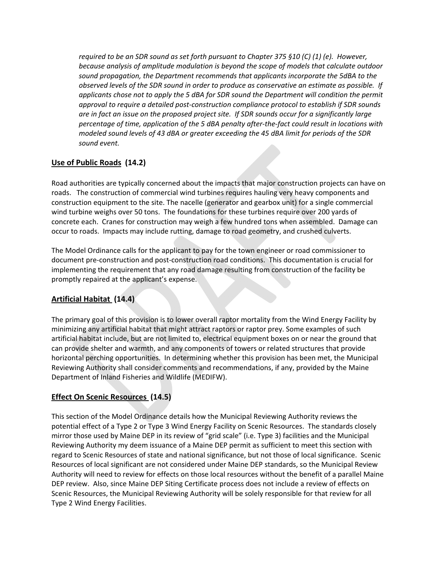*required to be an SDR sound as set forth pursuant to Chapter 375 §10 (C) (1) (e). However, because analysis of amplitude modulation is beyond the scope of models that calculate outdoor sound propagation, the Department recommends that applicants incorporate the 5dBA to the observed levels of the SDR sound in order to produce as conservative an estimate as possible. If applicants chose not to apply the 5 dBA for SDR sound the Department will condition the permit approval to require a detailed post‐construction compliance protocol to establish if SDR sounds* are in fact an issue on the proposed project site. If SDR sounds occur for a significantly large percentage of time, application of the 5 dBA penalty after-the-fact could result in locations with *modeled sound levels of 43 dBA or greater exceeding the 45 dBA limit for periods of the SDR sound event.*

# **Use of Public Roads (14.2)**

Road authorities are typically concerned about the impacts that major construction projects can have on roads. The construction of commercial wind turbines requires hauling very heavy components and construction equipment to the site. The nacelle (generator and gearbox unit) for a single commercial wind turbine weighs over 50 tons. The foundations for these turbines require over 200 yards of concrete each. Cranes for construction may weigh a few hundred tons when assembled. Damage can occur to roads. Impacts may include rutting, damage to road geometry, and crushed culverts.

The Model Ordinance calls for the applicant to pay for the town engineer or road commissioner to document pre‐construction and post‐construction road conditions. This documentation is crucial for implementing the requirement that any road damage resulting from construction of the facility be promptly repaired at the applicant's expense.

# **Artificial Habitat (14.4)**

The primary goal of this provision is to lower overall raptor mortality from the Wind Energy Facility by minimizing any artificial habitat that might attract raptors or raptor prey. Some examples of such artificial habitat include, but are not limited to, electrical equipment boxes on or near the ground that can provide shelter and warmth, and any components of towers or related structures that provide horizontal perching opportunities. In determining whether this provision has been met, the Municipal Reviewing Authority shall consider comments and recommendations, if any, provided by the Maine Department of Inland Fisheries and Wildlife (MEDIFW).

# **Effect On Scenic Resources (14.5)**

This section of the Model Ordinance details how the Municipal Reviewing Authority reviews the potential effect of a Type 2 or Type 3 Wind Energy Facility on Scenic Resources. The standards closely mirror those used by Maine DEP in its review of "grid scale" (i.e. Type 3) facilities and the Municipal Reviewing Authority my deem issuance of a Maine DEP permit as sufficient to meet this section with regard to Scenic Resources of state and national significance, but not those of local significance. Scenic Resources of local significant are not considered under Maine DEP standards, so the Municipal Review Authority will need to review for effects on those local resources without the benefit of a parallel Maine DEP review. Also, since Maine DEP Siting Certificate process does not include a review of effects on Scenic Resources, the Municipal Reviewing Authority will be solely responsible for that review for all Type 2 Wind Energy Facilities.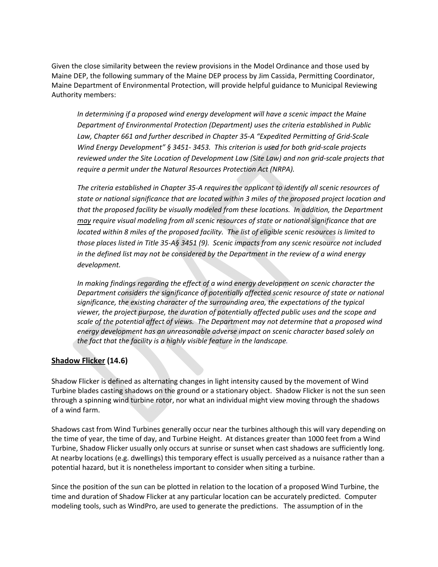Given the close similarity between the review provisions in the Model Ordinance and those used by Maine DEP, the following summary of the Maine DEP process by Jim Cassida, Permitting Coordinator, Maine Department of Environmental Protection, will provide helpful guidance to Municipal Reviewing Authority members:

*In determining if a proposed wind energy development will have a scenic impact the Maine Department of Environmental Protection (Department) uses the criteria established in Public Law, Chapter 661 and further described in Chapter 35‐A "Expedited Permitting of Grid‐Scale Wind Energy Development" § 3451‐ 3453. This criterion is used for both grid‐scale projects reviewed under the Site Location of Development Law (Site Law) and non grid‐scale projects that require a permit under the Natural Resources Protection Act (NRPA).* 

*The criteria established in Chapter 35‐A requires the applicant to identify all scenic resources of state or national significance that are located within 3 miles of the proposed project location and that the proposed facility be visually modeled from these locations. In addition, the Department may require visual modeling from all scenic resources of state or national significance that are* located within 8 miles of the proposed facility. The list of eligible scenic resources is limited to those places listed in Title 35-A§ 3451 (9). Scenic impacts from any scenic resource not included *in the defined list may not be considered by the Department in the review of a wind energy*  $development.$ 

*In making findings regarding the effect of a wind energy development on scenic character the Department considers the significance of potentially affected scenic resource of state or national significance, the existing character of the surrounding area, the expectations of the typical viewer, the project purpose, the duration of potentially affected public uses and the scope and scale of the potential affect of views. The Department may not determine that a proposed wind energy development has an unreasonable adverse impact on scenic character based solely on the fact that the facility is a highly visible feature in the landscape.*

#### **Shadow Flicker (14.6)**

Shadow Flicker is defined as alternating changes in light intensity caused by the movement of Wind Turbine blades casting shadows on the ground or a stationary object. Shadow Flicker is not the sun seen through a spinning wind turbine rotor, nor what an individual might view moving through the shadows of a wind farm.

Shadows cast from Wind Turbines generally occur near the turbines although this will vary depending on the time of year, the time of day, and Turbine Height. At distances greater than 1000 feet from a Wind Turbine, Shadow Flicker usually only occurs at sunrise or sunset when cast shadows are sufficiently long. At nearby locations (e.g. dwellings) this temporary effect is usually perceived as a nuisance rather than a potential hazard, but it is nonetheless important to consider when siting a turbine.

Since the position of the sun can be plotted in relation to the location of a proposed Wind Turbine, the time and duration of Shadow Flicker at any particular location can be accurately predicted. Computer modeling tools, such as WindPro, are used to generate the predictions. The assumption of in the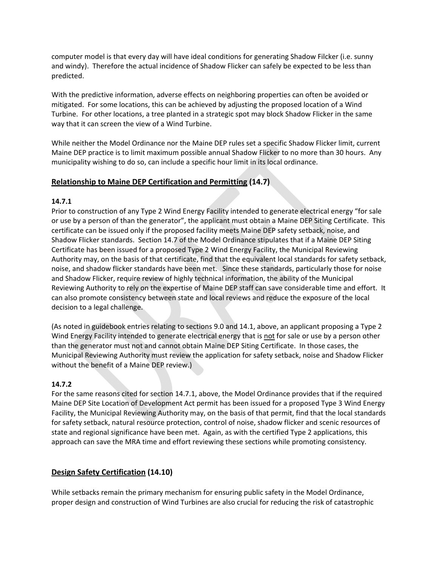computer model is that every day will have ideal conditions for generating Shadow Filcker (i.e. sunny and windy). Therefore the actual incidence of Shadow Flicker can safely be expected to be less than predicted.

With the predictive information, adverse effects on neighboring properties can often be avoided or mitigated. For some locations, this can be achieved by adjusting the proposed location of a Wind Turbine. For other locations, a tree planted in a strategic spot may block Shadow Flicker in the same way that it can screen the view of a Wind Turbine.

While neither the Model Ordinance nor the Maine DEP rules set a specific Shadow Flicker limit, current Maine DEP practice is to limit maximum possible annual Shadow Flicker to no more than 30 hours. Any municipality wishing to do so, can include a specific hour limit in its local ordinance.

### **Relationship to Maine DEP Certification and Permitting (14.7)**

### **14.7.1**

Prior to construction of any Type 2 Wind Energy Facility intended to generate electrical energy "for sale or use by a person of than the generator", the applicant must obtain a Maine DEP Siting Certificate. This certificate can be issued only if the proposed facility meets Maine DEP safety setback, noise, and Shadow Flicker standards. Section 14.7 of the Model Ordinance stipulates that if a Maine DEP Siting Certificate has been issued for a proposed Type 2 Wind Energy Facility, the Municipal Reviewing Authority may, on the basis of that certificate, find that the equivalent local standards for safety setback, noise, and shadow flicker standards have been met. Since these standards, particularly those for noise and Shadow Flicker, require review of highly technical information, the ability of the Municipal Reviewing Authority to rely on the expertise of Maine DEP staff can save considerable time and effort. It can also promote consistency between state and local reviews and reduce the exposure of the local decision to a legal challenge.

(As noted in guidebook entries relating to sections 9.0 and 14.1, above, an applicant proposing a Type 2 Wind Energy Facility intended to generate electrical energy that is not for sale or use by a person other than the generator must not and cannot obtain Maine DEP Siting Certificate. In those cases, the Municipal Reviewing Authority must review the application for safety setback, noise and Shadow Flicker without the benefit of a Maine DEP review.)

#### **14.7.2**

For the same reasons cited for section 14.7.1, above, the Model Ordinance provides that if the required Maine DEP Site Location of Development Act permit has been issued for a proposed Type 3 Wind Energy Facility, the Municipal Reviewing Authority may, on the basis of that permit, find that the local standards for safety setback, natural resource protection, control of noise, shadow flicker and scenic resources of state and regional significance have been met. Again, as with the certified Type 2 applications, this approach can save the MRA time and effort reviewing these sections while promoting consistency.

## **Design Safety Certification (14.10)**

While setbacks remain the primary mechanism for ensuring public safety in the Model Ordinance, proper design and construction of Wind Turbines are also crucial for reducing the risk of catastrophic